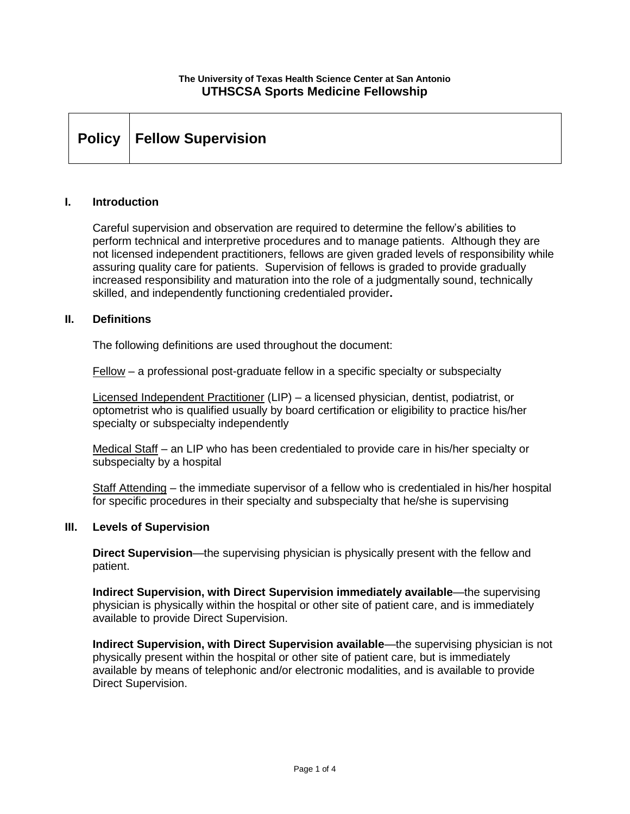#### **The University of Texas Health Science Center at San Antonio UTHSCSA Sports Medicine Fellowship**

| Policy   Fellow Supervision |  |  |  |
|-----------------------------|--|--|--|
|-----------------------------|--|--|--|

#### **I. Introduction**

Careful supervision and observation are required to determine the fellow's abilities to perform technical and interpretive procedures and to manage patients. Although they are not licensed independent practitioners, fellows are given graded levels of responsibility while assuring quality care for patients. Supervision of fellows is graded to provide gradually increased responsibility and maturation into the role of a judgmentally sound, technically skilled, and independently functioning credentialed provider**.** 

#### **II. Definitions**

The following definitions are used throughout the document:

Fellow – a professional post-graduate fellow in a specific specialty or subspecialty

Licensed Independent Practitioner (LIP) – a licensed physician, dentist, podiatrist, or optometrist who is qualified usually by board certification or eligibility to practice his/her specialty or subspecialty independently

Medical Staff – an LIP who has been credentialed to provide care in his/her specialty or subspecialty by a hospital

Staff Attending – the immediate supervisor of a fellow who is credentialed in his/her hospital for specific procedures in their specialty and subspecialty that he/she is supervising

#### **III. Levels of Supervision**

**Direct Supervision**—the supervising physician is physically present with the fellow and patient.

**Indirect Supervision, with Direct Supervision immediately available**—the supervising physician is physically within the hospital or other site of patient care, and is immediately available to provide Direct Supervision.

**Indirect Supervision, with Direct Supervision available**—the supervising physician is not physically present within the hospital or other site of patient care, but is immediately available by means of telephonic and/or electronic modalities, and is available to provide Direct Supervision.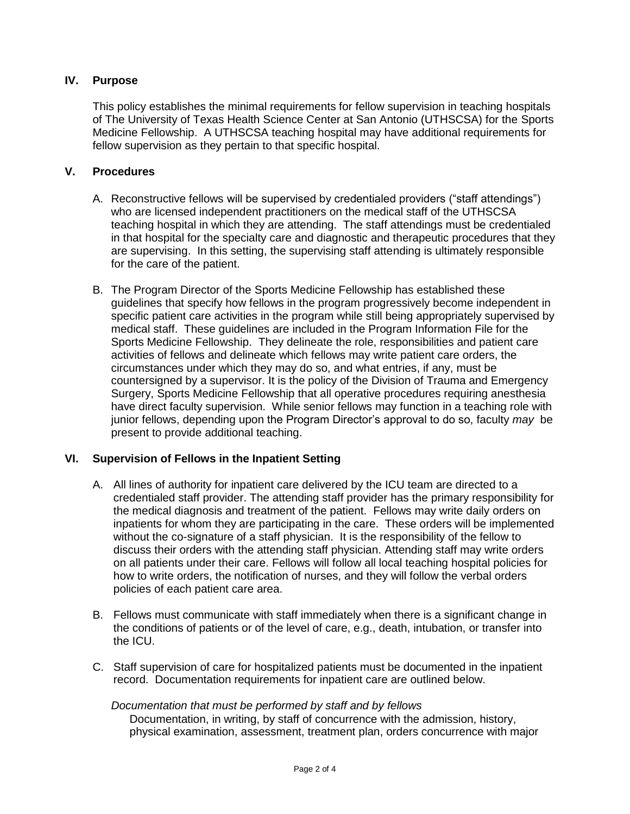# **IV. Purpose**

This policy establishes the minimal requirements for fellow supervision in teaching hospitals of The University of Texas Health Science Center at San Antonio (UTHSCSA) for the Sports Medicine Fellowship. A UTHSCSA teaching hospital may have additional requirements for fellow supervision as they pertain to that specific hospital.

# **V. Procedures**

- A. Reconstructive fellows will be supervised by credentialed providers ("staff attendings") who are licensed independent practitioners on the medical staff of the UTHSCSA teaching hospital in which they are attending. The staff attendings must be credentialed in that hospital for the specialty care and diagnostic and therapeutic procedures that they are supervising. In this setting, the supervising staff attending is ultimately responsible for the care of the patient.
- B. The Program Director of the Sports Medicine Fellowship has established these guidelines that specify how fellows in the program progressively become independent in specific patient care activities in the program while still being appropriately supervised by medical staff. These guidelines are included in the Program Information File for the Sports Medicine Fellowship. They delineate the role, responsibilities and patient care activities of fellows and delineate which fellows may write patient care orders, the circumstances under which they may do so, and what entries, if any, must be countersigned by a supervisor. It is the policy of the Division of Trauma and Emergency Surgery, Sports Medicine Fellowship that all operative procedures requiring anesthesia have direct faculty supervision. While senior fellows may function in a teaching role with junior fellows, depending upon the Program Director's approval to do so, faculty *may* be present to provide additional teaching.

#### **VI. Supervision of Fellows in the Inpatient Setting**

- A. All lines of authority for inpatient care delivered by the ICU team are directed to a credentialed staff provider. The attending staff provider has the primary responsibility for the medical diagnosis and treatment of the patient. Fellows may write daily orders on inpatients for whom they are participating in the care. These orders will be implemented without the co-signature of a staff physician. It is the responsibility of the fellow to discuss their orders with the attending staff physician. Attending staff may write orders on all patients under their care. Fellows will follow all local teaching hospital policies for how to write orders, the notification of nurses, and they will follow the verbal orders policies of each patient care area.
- B. Fellows must communicate with staff immediately when there is a significant change in the conditions of patients or of the level of care, e.g., death, intubation, or transfer into the ICU.
- C. Staff supervision of care for hospitalized patients must be documented in the inpatient record. Documentation requirements for inpatient care are outlined below.

#### *Documentation that must be performed by staff and by fellows*

Documentation, in writing, by staff of concurrence with the admission, history, physical examination, assessment, treatment plan, orders concurrence with major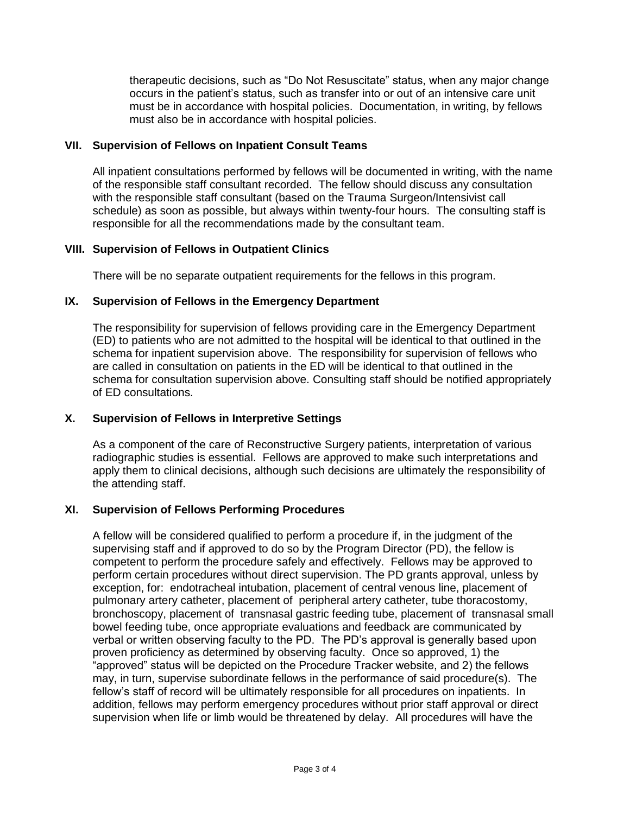therapeutic decisions, such as "Do Not Resuscitate" status, when any major change occurs in the patient's status, such as transfer into or out of an intensive care unit must be in accordance with hospital policies. Documentation, in writing, by fellows must also be in accordance with hospital policies.

#### **VII. Supervision of Fellows on Inpatient Consult Teams**

All inpatient consultations performed by fellows will be documented in writing, with the name of the responsible staff consultant recorded. The fellow should discuss any consultation with the responsible staff consultant (based on the Trauma Surgeon/Intensivist call schedule) as soon as possible, but always within twenty-four hours. The consulting staff is responsible for all the recommendations made by the consultant team.

#### **VIII. Supervision of Fellows in Outpatient Clinics**

There will be no separate outpatient requirements for the fellows in this program.

### **IX. Supervision of Fellows in the Emergency Department**

The responsibility for supervision of fellows providing care in the Emergency Department (ED) to patients who are not admitted to the hospital will be identical to that outlined in the schema for inpatient supervision above. The responsibility for supervision of fellows who are called in consultation on patients in the ED will be identical to that outlined in the schema for consultation supervision above. Consulting staff should be notified appropriately of ED consultations.

# **X. Supervision of Fellows in Interpretive Settings**

As a component of the care of Reconstructive Surgery patients, interpretation of various radiographic studies is essential. Fellows are approved to make such interpretations and apply them to clinical decisions, although such decisions are ultimately the responsibility of the attending staff.

# **XI. Supervision of Fellows Performing Procedures**

A fellow will be considered qualified to perform a procedure if, in the judgment of the supervising staff and if approved to do so by the Program Director (PD), the fellow is competent to perform the procedure safely and effectively. Fellows may be approved to perform certain procedures without direct supervision. The PD grants approval, unless by exception, for: endotracheal intubation, placement of central venous line, placement of pulmonary artery catheter, placement of peripheral artery catheter, tube thoracostomy, bronchoscopy, placement of transnasal gastric feeding tube, placement of transnasal small bowel feeding tube, once appropriate evaluations and feedback are communicated by verbal or written observing faculty to the PD. The PD's approval is generally based upon proven proficiency as determined by observing faculty. Once so approved, 1) the "approved" status will be depicted on the Procedure Tracker website, and 2) the fellows may, in turn, supervise subordinate fellows in the performance of said procedure(s). The fellow's staff of record will be ultimately responsible for all procedures on inpatients. In addition, fellows may perform emergency procedures without prior staff approval or direct supervision when life or limb would be threatened by delay. All procedures will have the